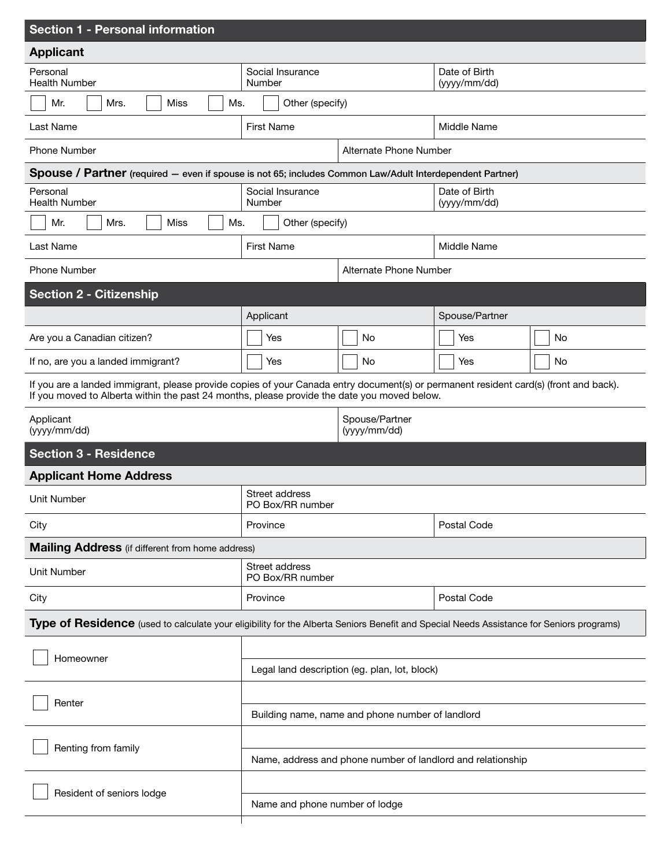| <b>Section 1 - Personal information</b>                                                                                                                                                                                              |                                                             |                                |                               |    |
|--------------------------------------------------------------------------------------------------------------------------------------------------------------------------------------------------------------------------------------|-------------------------------------------------------------|--------------------------------|-------------------------------|----|
| <b>Applicant</b>                                                                                                                                                                                                                     |                                                             |                                |                               |    |
| Personal<br><b>Health Number</b>                                                                                                                                                                                                     | Social Insurance<br>Number                                  |                                | Date of Birth<br>(yyyy/mm/dd) |    |
| Mrs.<br><b>Miss</b><br>Ms.<br>Mr.                                                                                                                                                                                                    | Other (specify)                                             |                                |                               |    |
| Last Name                                                                                                                                                                                                                            | <b>First Name</b>                                           |                                | Middle Name                   |    |
| <b>Phone Number</b>                                                                                                                                                                                                                  |                                                             | Alternate Phone Number         |                               |    |
| Spouse / Partner (required - even if spouse is not 65; includes Common Law/Adult Interdependent Partner)                                                                                                                             |                                                             |                                |                               |    |
| Personal<br><b>Health Number</b>                                                                                                                                                                                                     | Social Insurance<br>Number                                  |                                | Date of Birth<br>(yyyy/mm/dd) |    |
| Mrs.<br><b>Miss</b><br>Ms.<br>Mr.                                                                                                                                                                                                    | Other (specify)                                             |                                |                               |    |
| Last Name                                                                                                                                                                                                                            | <b>First Name</b>                                           |                                | Middle Name                   |    |
| <b>Phone Number</b>                                                                                                                                                                                                                  |                                                             | Alternate Phone Number         |                               |    |
| <b>Section 2 - Citizenship</b>                                                                                                                                                                                                       |                                                             |                                |                               |    |
|                                                                                                                                                                                                                                      | Applicant                                                   |                                | Spouse/Partner                |    |
| Are you a Canadian citizen?                                                                                                                                                                                                          | Yes                                                         | No                             | Yes                           | No |
| If no, are you a landed immigrant?                                                                                                                                                                                                   | Yes                                                         | <b>No</b>                      | Yes                           | No |
| If you are a landed immigrant, please provide copies of your Canada entry document(s) or permanent resident card(s) (front and back).<br>If you moved to Alberta within the past 24 months, please provide the date you moved below. |                                                             |                                |                               |    |
| Applicant<br>(yyyy/mm/dd)                                                                                                                                                                                                            | Spouse/Partner<br>(yyyy/mm/dd)                              |                                |                               |    |
| <b>Section 3 - Residence</b>                                                                                                                                                                                                         |                                                             |                                |                               |    |
| <b>Applicant Home Address</b>                                                                                                                                                                                                        |                                                             |                                |                               |    |
| Unit Number                                                                                                                                                                                                                          | Street address<br>PO Box/RR number                          |                                |                               |    |
| City                                                                                                                                                                                                                                 | Province                                                    |                                | Postal Code                   |    |
| <b>Mailing Address</b> (if different from home address)                                                                                                                                                                              |                                                             |                                |                               |    |
| <b>Unit Number</b>                                                                                                                                                                                                                   | Street address<br>PO Box/RR number                          |                                |                               |    |
| City                                                                                                                                                                                                                                 | Postal Code<br>Province                                     |                                |                               |    |
| Type of Residence (used to calculate your eligibility for the Alberta Seniors Benefit and Special Needs Assistance for Seniors programs)                                                                                             |                                                             |                                |                               |    |
| Homeowner                                                                                                                                                                                                                            |                                                             |                                |                               |    |
|                                                                                                                                                                                                                                      | Legal land description (eg. plan, lot, block)               |                                |                               |    |
| Renter                                                                                                                                                                                                                               |                                                             |                                |                               |    |
|                                                                                                                                                                                                                                      | Building name, name and phone number of landlord            |                                |                               |    |
| Renting from family                                                                                                                                                                                                                  |                                                             |                                |                               |    |
|                                                                                                                                                                                                                                      | Name, address and phone number of landlord and relationship |                                |                               |    |
| Resident of seniors lodge                                                                                                                                                                                                            |                                                             |                                |                               |    |
|                                                                                                                                                                                                                                      |                                                             | Name and phone number of lodge |                               |    |
|                                                                                                                                                                                                                                      |                                                             |                                |                               |    |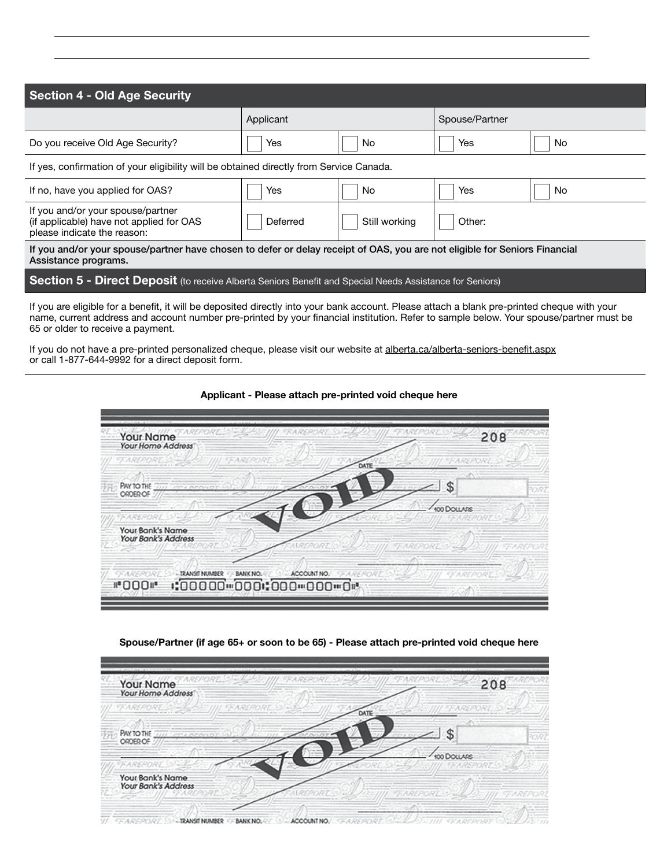| <b>Section 4 - Old Age Security</b>                                                                                                                |           |               |                |    |
|----------------------------------------------------------------------------------------------------------------------------------------------------|-----------|---------------|----------------|----|
|                                                                                                                                                    | Applicant |               | Spouse/Partner |    |
| Do you receive Old Age Security?                                                                                                                   | Yes       | No            | Yes            | No |
| If yes, confirmation of your eligibility will be obtained directly from Service Canada.                                                            |           |               |                |    |
| If no, have you applied for OAS?                                                                                                                   | Yes       | No            | Yes            | No |
| If you and/or your spouse/partner<br>(if applicable) have not applied for OAS<br>please indicate the reason:                                       | Deferred  | Still working | Other:         |    |
| If you and/or your spouse/partner have chosen to defer or delay receipt of OAS, you are not eligible for Seniors Financial<br>Assistance programs. |           |               |                |    |
| Section 5 - Direct Deposit (to receive Alberta Seniors Benefit and Special Needs Assistance for Seniors)                                           |           |               |                |    |
| If you are eligible for a benefit, it will be deposited directly into your bank account. Please attach a blank pre-printed cheque with your        |           |               |                |    |

name, current address and account number pre-printed by your financial institution. Refer to sample below. Your spouse/partner must be 65 or older to receive a payment.

If you do not have a pre-printed personalized cheque, please visit our website at alberta.ca/alberta-seniors-benefit.aspx or call 1-877-644-9992 for a direct deposit form.



Applicant - Please attach pre-printed void cheque here

### Spouse/Partner (if age 65+ or soon to be 65) - Please attach pre-printed void cheque here

| Your Name<br>Your Home Address                | 208         |
|-----------------------------------------------|-------------|
|                                               | DATE        |
| <b>PAY TO THE</b><br>アンティング アートレー<br>ORDER OF |             |
|                                               | 100 DOLLARS |
| Your Bank's Name<br>Your Bank's Address       |             |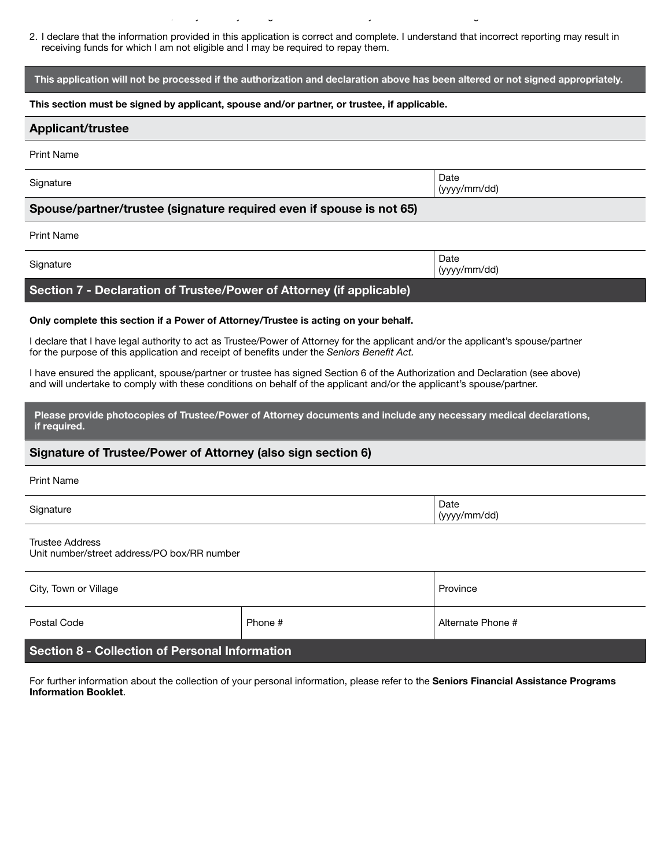2. I declare that the information provided in this application is correct and complete. I understand that incorrect reporting may result in receiving funds for which I am not eligible and I may be required to repay them.

### This application will not be processed if the authorization and declaration above has been altered or not signed appropriately.

#### This section must be signed by applicant, spouse and/or partner, or trustee, if applicable.

under the *Seniors Benefit Act*, I may do so by writing to the Alberta Ministry of Seniors and Housing.

# Applicant/trustee Print Name Signature **Date** (yyyy/mm/dd) Spouse/partner/trustee (signature required even if spouse is not 65) Print Name

| Signature                                                            | Date<br>(yyyy/mm/dd) |
|----------------------------------------------------------------------|----------------------|
| Section 7 - Declaration of Trustee/Power of Attorney (if applicable) |                      |

# Only complete this section if a Power of Attorney/Trustee is acting on your behalf.

I declare that I have legal authority to act as Trustee/Power of Attorney for the applicant and/or the applicant's spouse/partner for the purpose of this application and receipt of benefits under the *Seniors Benefit Act.*

I have ensured the applicant, spouse/partner or trustee has signed Section 6 of the Authorization and Declaration (see above) and will undertake to comply with these conditions on behalf of the applicant and/or the applicant's spouse/partner.

Please provide photocopies of Trustee/Power of Attorney documents and include any necessary medical declarations, if required.

## Signature of Trustee/Power of Attorney (also sign section 6)

| Print Name |                      |
|------------|----------------------|
| Signature  | Date<br>(yyyy/mm/dd) |

Trustee Address Unit number/street address/PO box/RR number

| City, Town or Village                                 |         | Province          |
|-------------------------------------------------------|---------|-------------------|
| Postal Code                                           | Phone # | Alternate Phone # |
| <b>Section 8 - Collection of Personal Information</b> |         |                   |

For further information about the collection of your personal information, please refer to the Seniors Financial Assistance Programs Information Booklet.